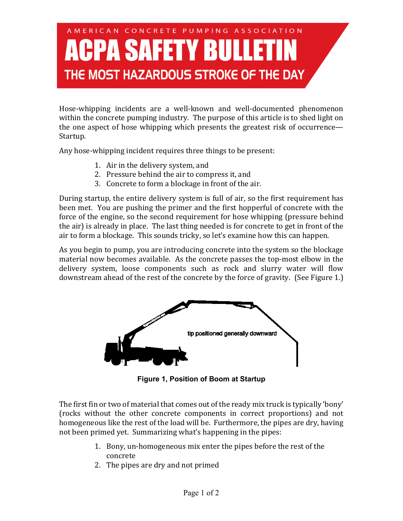## A MERICAN CONCRETE PUMPING ASSOCIATION **A SAFETY BULL** THE MOST HAZARDOUS STROKE OF THE DAY

Hose-whipping incidents are a well-known and well-documented phenomenon within the concrete pumping industry. The purpose of this article is to shed light on the one aspect of hose whipping which presents the greatest risk of occurrence— Startup.

Any hose-whipping incident requires three things to be present:

- 1. Air in the delivery system, and
- 2. Pressure behind the air to compress it, and
- 3. Concrete to form a blockage in front of the air.

During startup, the entire delivery system is full of air, so the first requirement has been met. You are pushing the primer and the first hopperful of concrete with the force of the engine, so the second requirement for hose whipping (pressure behind the air) is already in place. The last thing needed is for concrete to get in front of the air to form a blockage. This sounds tricky, so let's examine how this can happen.

As you begin to pump, you are introducing concrete into the system so the blockage material now becomes available. As the concrete passes the top-most elbow in the delivery system, loose components such as rock and slurry water will flow downstream ahead of the rest of the concrete by the force of gravity. (See Figure 1.)



**Figure 1, Position of Boom at Startup**

The first fin or two of material that comes out of the ready mix truck is typically 'bony' (rocks without the other concrete components in correct proportions) and not homogeneous like the rest of the load will be. Furthermore, the pipes are dry, having not been primed yet. Summarizing what's happening in the pipes:

- 1. Bony, un-homogeneous mix enter the pipes before the rest of the concrete
- 2. The pipes are dry and not primed